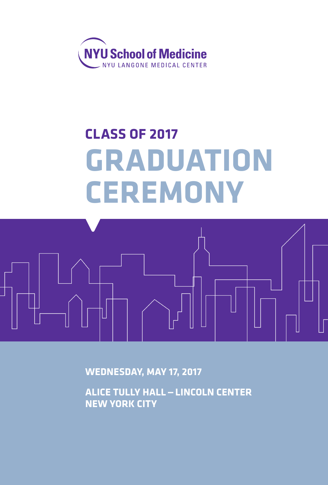

# **CLASS OF 2017 GRADUATION CEREMONY**



**WEDNESDAY, MAY 17, 2017**

**ALICE TULLY HALL—LINCOLN CENTER NEW YORK CITY**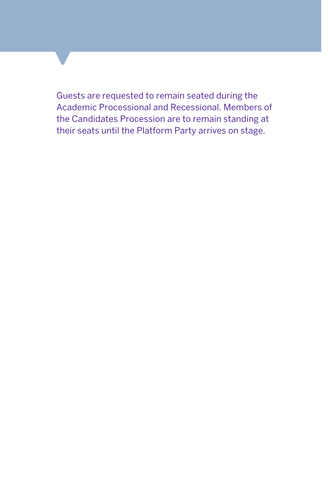Guests are requested to remain seated during the Academic Processional and Recessional. Members of the Candidates Procession are to remain standing at their seats until the Platform Party arrives on stage.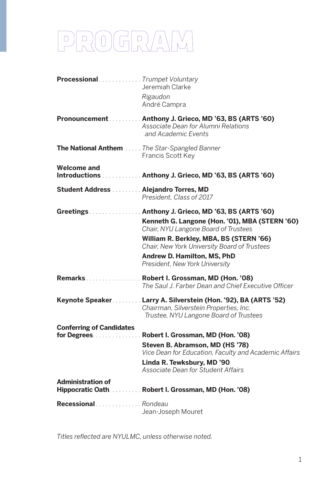# PROGRAM

| Processional  Trumpet Voluntary      | Jeremiah Clarke                                                                                                                                                                                                                                                                                          |
|--------------------------------------|----------------------------------------------------------------------------------------------------------------------------------------------------------------------------------------------------------------------------------------------------------------------------------------------------------|
|                                      | Rigaudon<br>André Campra                                                                                                                                                                                                                                                                                 |
|                                      | Pronouncement  Anthony J. Grieco, MD '63, BS (ARTS '60)<br>Associate Dean for Alumni Relations<br>and Academic Events                                                                                                                                                                                    |
|                                      | The National Anthem The Star-Spangled Banner<br>Francis Scott Key                                                                                                                                                                                                                                        |
| <b>Welcome and</b>                   | Introductions  Anthony J. Grieco, MD '63, BS (ARTS '60)                                                                                                                                                                                                                                                  |
| Student Address Alejandro Torres, MD | President, Class of 2017                                                                                                                                                                                                                                                                                 |
|                                      | Greetings Anthony J. Grieco, MD '63, BS (ARTS '60)<br>Kenneth G. Langone (Hon. '01), MBA (STERN '60)<br>Chair, NYU Langone Board of Trustees<br>William R. Berkley, MBA, BS (STERN '66)<br>Chair, New York University Board of Trustees<br>Andrew D. Hamilton, MS, PhD<br>President, New York University |
|                                      | Remarks  Robert I. Grossman, MD (Hon. '08)<br>The Saul J. Farber Dean and Chief Executive Officer                                                                                                                                                                                                        |
|                                      | Keynote Speaker. Larry A. Silverstein (Hon. '92), BA (ARTS '52)<br>Chairman, Silverstein Properties, Inc.<br>Trustee, NYU Langone Board of Trustees                                                                                                                                                      |
| <b>Conferring of Candidates</b>      | for Degrees. Robert I. Grossman, MD (Hon. '08)                                                                                                                                                                                                                                                           |
|                                      | Steven B. Abramson, MD (HS '78)<br>Vice Dean for Education, Faculty and Academic Affairs                                                                                                                                                                                                                 |
|                                      | Linda R. Tewksbury, MD '90<br>Associate Dean for Student Affairs                                                                                                                                                                                                                                         |
| <b>Administration of</b>             | Hippocratic Oath. Robert I. Grossman, MD (Hon. '08)                                                                                                                                                                                                                                                      |
| Recessional  Rondeau                 | Jean-Joseph Mouret                                                                                                                                                                                                                                                                                       |

Titles reflected are NYULMC, unless otherwise noted.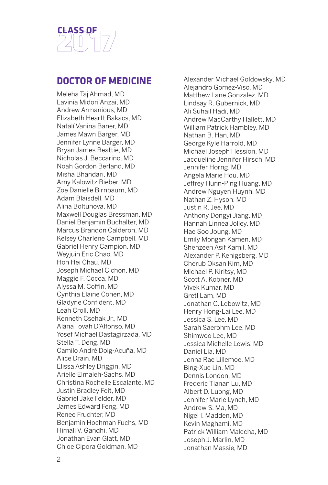

## **DOCTOR OF MEDICINE**

Meleha Taj Ahmad, MD Lavinia Midori Anzai, MD Andrew Armanious, MD Elizabeth Heartt Bakacs, MD Natalí Vanina Baner, MD James Mawn Barger, MD Jennifer Lynne Barger, MD Bryan James Beattie, MD Nicholas J. Beccarino, MD Noah Gordon Berland, MD Misha Bhandari, MD Amy Kalowitz Bieber, MD Zoe Danielle Birnbaum, MD Adam Blaisdell, MD Alina Boltunova, MD Maxwell Douglas Bressman, MD Daniel Benjamin Buchalter, MD Marcus Brandon Calderon, MD Kelsey Charlene Campbell, MD Gabriel Henry Campion, MD Weyjuin Eric Chao, MD Hon Hei Chau, MD Joseph Michael Cichon, MD Maggie F. Cocca, MD Alyssa M. Coffin, MD Cynthia Elaine Cohen, MD Gladyne Confident, MD Leah Croll, MD Kenneth Csehak Jr., MD Alana Tovah D'Alfonso, MD Yosef Michael Dastagirzada, MD Stella T. Deng, MD Camilo André Doig-Acuña, MD Alice Drain, MD Elissa Ashley Driggin, MD Arielle Elmaleh-Sachs, MD Christina Rochelle Escalante, MD Justin Bradley Feit, MD Gabriel Jake Felder, MD James Edward Feng, MD Renee Fruchter, MD Benjamin Hochman Fuchs, MD Himali V. Gandhi, MD Jonathan Evan Glatt, MD Chloe Cipora Goldman, MD

Alexander Michael Goldowsky, MD Alejandro Gomez-Viso, MD Matthew Lane Gonzalez, MD Lindsay R. Gubernick, MD Ali Suhail Hadi, MD Andrew MacCarthy Hallett, MD William Patrick Hambley, MD Nathan B. Han, MD George Kyle Harrold, MD Michael Joseph Hession, MD Jacqueline Jennifer Hirsch, MD Jennifer Horng, MD Angela Marie Hou, MD Jeffrey Hunn-Ping Huang, MD Andrew Nguyen Huynh, MD Nathan Z. Hyson, MD Justin R. Jee, MD Anthony Dongyi Jiang, MD Hannah Linnea Jolley, MD Hae Soo Joung, MD Emily Mongan Kamen, MD Shehzeen Asif Kamil, MD Alexander P. Kenigsberg, MD Cherub Oksan Kim, MD Michael P. Kiritsy, MD Scott A. Kobner, MD Vivek Kumar, MD Gretl Lam, MD Jonathan C. Lebowitz, MD Henry Hong-Lai Lee, MD Jessica S. Lee, MD Sarah Saerohm Lee, MD Shimwoo Lee, MD Jessica Michelle Lewis, MD Daniel Lia, MD Jenna Rae Lillemoe, MD Bing-Xue Lin, MD Dennis London, MD Frederic Tianan Lu, MD Albert D. Luong, MD Jennifer Marie Lynch, MD Andrew S. Ma, MD Nigel I. Madden, MD Kevin Maghami, MD Patrick William Malecha, MD Joseph J. Marlin, MD Jonathan Massie, MD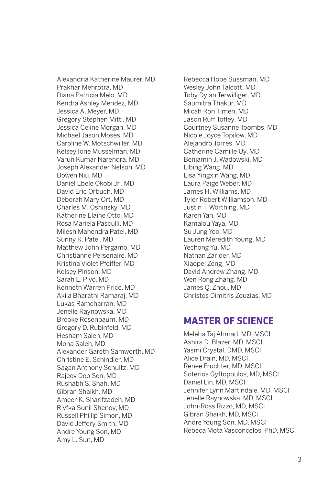Alexandria Katherine Maurer, MD Prakhar Mehrotra, MD Diana Patricia Melo, MD Kendra Ashley Mendez, MD Jessica A. Meyer, MD Gregory Stephen Mittl, MD Jessica Celine Morgan, MD Michael Jason Moses, MD Caroline W. Motschwiller, MD Kelsey Ione Musselman, MD Varun Kumar Narendra, MD Joseph Alexander Nelson, MD Bowen Niu, MD Daniel Ebele Okobi Jr., MD David Eric Orbuch, MD Deborah Mary Ort, MD Charles M. Oshinsky, MD Katherine Elaine Otto, MD Rosa Mariela Pasculli, MD Milesh Mahendra Patel, MD Sunny R. Patel, MD Matthew John Pergamo, MD Christianne Persenaire, MD Kristina Violet Pfeiffer, MD Kelsey Pinson, MD Sarah E. Pivo, MD Kenneth Warren Price, MD Akila Bharathi Ramaraj, MD Lukas Ramcharran, MD Jenelle Raynowska, MD Brooke Rosenbaum, MD Gregory D. Rubinfeld, MD Hesham Saleh, MD Mona Saleh, MD Alexander Gareth Samworth, MD Christine E. Schindler, MD Sagan Anthony Schultz, MD Rajeev Deb Sen, MD Rushabh S. Shah, MD Gibran Shaikh, MD Ameer K. Sharifzadeh, MD Rivfka Sunil Shenoy, MD Russell Phillip Simon, MD David Jeffery Smith, MD Andre Young Son, MD Amy L. Sun, MD

Rebecca Hope Sussman, MD Wesley John Talcott, MD Toby Dylan Terwilliger, MD Saumitra Thakur, MD Micah Ron Timen, MD Jason Ruff Toffey, MD Courtney Susanne Toombs, MD Nicole Joyce Topilow, MD Alejandro Torres, MD Catherine Camille Uy, MD Benjamin J. Wadowski, MD Libing Wang, MD Lisa Yingxin Wang, MD Laura Paige Weber, MD James H. Williams, MD Tyler Robert Williamson, MD Justin T. Worthing, MD Karen Yan, MD Kamalou Yaya, MD Su Jung Yoo, MD Lauren Meredith Young, MD Yechong Yu, MD Nathan Zarider, MD Xiaopei Zeng, MD David Andrew Zhang, MD Wen Rong Zhang, MD James Q. Zhou, MD Christos Dimitris Zouzias, MD

# **MASTER OF SCIENCE**

Meleha Taj Ahmad, MD, MSCI Ashira D. Blazer, MD, MSCI Yasmi Crystal, DMD, MSCI Alice Drain, MD, MSCI Renee Fruchter, MD, MSCI Soterios Gyftopoulos, MD, MSCI Daniel Lin, MD, MSCI Jennifer Lynn Martindale, MD, MSCI Jenelle Raynowska, MD, MSCI John-Ross Rizzo, MD, MSCI Gibran Shaikh, MD, MSCI Andre Young Son, MD, MSCI Rebeca Mota Vasconcelos, PhD, MSCI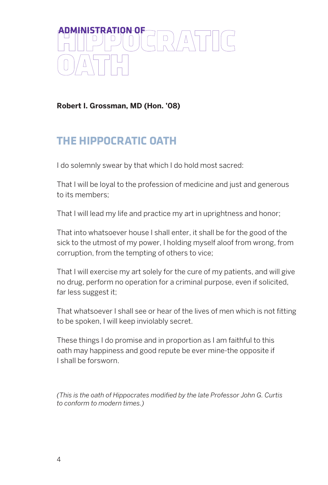

**Robert I. Grossman, MD (Hon. '08)**

# **THE HIPPOCRATIC OATH**

I do solemnly swear by that which I do hold most sacred:

That I will be loyal to the profession of medicine and just and generous to its members;

That I will lead my life and practice my art in uprightness and honor;

That into whatsoever house I shall enter, it shall be for the good of the sick to the utmost of my power, I holding myself aloof from wrong, from corruption, from the tempting of others to vice;

That I will exercise my art solely for the cure of my patients, and will give no drug, perform no operation for a criminal purpose, even if solicited, far less suggest it;

That whatsoever I shall see or hear of the lives of men which is not fitting to be spoken, I will keep inviolably secret.

These things I do promise and in proportion as I am faithful to this oath may happiness and good repute be ever mine-the opposite if I shall be forsworn.

*(This is the oath of Hippocrates modified by the late Professor John G. Curtis to conform to modern times.)*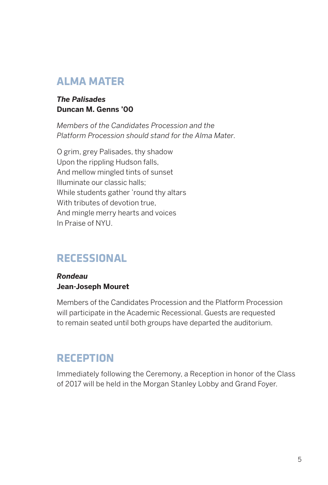# **ALMA MATER**

### *The Palisades* **Duncan M. Genns '00**

*Members of the Candidates Procession and the Platform Procession should stand for the Alma Mater.*

O grim, grey Palisades, thy shadow Upon the rippling Hudson falls, And mellow mingled tints of sunset Illuminate our classic halls; While students gather 'round thy altars With tributes of devotion true, And mingle merry hearts and voices In Praise of NYU.

# **RECESSIONAL**

#### *Rondeau* **Jean-Joseph Mouret**

Members of the Candidates Procession and the Platform Procession will participate in the Academic Recessional. Guests are requested to remain seated until both groups have departed the auditorium.

# **RECEPTION**

Immediately following the Ceremony, a Reception in honor of the Class of 2017 will be held in the Morgan Stanley Lobby and Grand Foyer.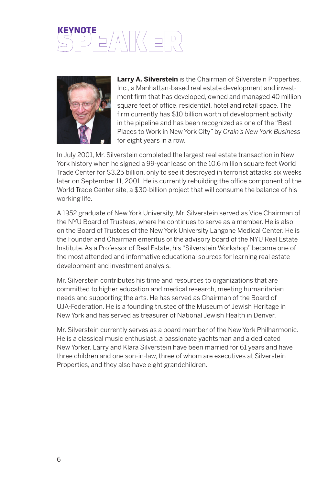# **KEYNOTE**



**Larry A. Silverstein** is the Chairman of Silverstein Properties, Inc., a Manhattan-based real estate development and investment firm that has developed, owned and managed 40 million square feet of office, residential, hotel and retail space. The firm currently has \$10 billion worth of development activity in the pipeline and has been recognized as one of the "Best Places to Work in New York City" by *Crain's New York Business* for eight years in a row.

In July 2001, Mr. Silverstein completed the largest real estate transaction in New York history when he signed a 99-year lease on the 10.6 million square feet World Trade Center for \$3.25 billion, only to see it destroyed in terrorist attacks six weeks later on September 11, 2001. He is currently rebuilding the office component of the World Trade Center site, a \$30-billion project that will consume the balance of his working life.

A 1952 graduate of New York University, Mr. Silverstein served as Vice Chairman of the NYU Board of Trustees, where he continues to serve as a member. He is also on the Board of Trustees of the New York University Langone Medical Center. He is the Founder and Chairman emeritus of the advisory board of the NYU Real Estate Institute. As a Professor of Real Estate, his "Silverstein Workshop" became one of the most attended and informative educational sources for learning real estate development and investment analysis.

Mr. Silverstein contributes his time and resources to organizations that are committed to higher education and medical research, meeting humanitarian needs and supporting the arts. He has served as Chairman of the Board of UJA-Federation. He is a founding trustee of the Museum of Jewish Heritage in New York and has served as treasurer of National Jewish Health in Denver.

Mr. Silverstein currently serves as a board member of the New York Philharmonic. He is a classical music enthusiast, a passionate yachtsman and a dedicated New Yorker. Larry and Klara Silverstein have been married for 61 years and have three children and one son-in-law, three of whom are executives at Silverstein Properties, and they also have eight grandchildren.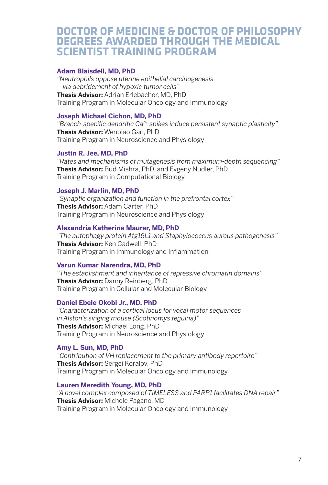# **DOCTOR OF MEDICINE & DOCTOR OF PHILOSOPHY DEGREES AWARDED THROUGH THE MEDICAL SCIENTIST TRAINING PROGRAM**

#### **Adam Blaisdell, MD, PhD**

*"Neutrophils oppose uterine epithelial carcinogenesis via debridement of hypoxic tumor cells"*  **Thesis Advisor:** Adrian Erlebacher, MD, PhD Training Program in Molecular Oncology and Immunology

#### **Joseph Michael Cichon, MD, PhD**

*"Branch-specific dendritic Ca2+ spikes induce persistent synaptic plasticity"*  **Thesis Advisor:** Wenbiao Gan, PhD Training Program in Neuroscience and Physiology

#### **Justin R. Jee, MD, PhD**

*"Rates and mechanisms of mutagenesis from maximum-depth sequencing"*  **Thesis Advisor:** Bud Mishra, PhD, and Evgeny Nudler, PhD Training Program in Computational Biology

#### **Joseph J. Marlin, MD, PhD**

*"Synaptic organization and function in the prefrontal cortex"*  **Thesis Advisor:** Adam Carter, PhD Training Program in Neuroscience and Physiology

#### **Alexandria Katherine Maurer, MD, PhD**

*"The autophagy protein Atg16L1 and Staphylococcus aureus pathogenesis"*  **Thesis Advisor:** Ken Cadwell, PhD Training Program in Immunology and Inflammation

#### **Varun Kumar Narendra, MD, PhD**

*"The establishment and inheritance of repressive chromatin domains"*  **Thesis Advisor:** Danny Reinberg, PhD Training Program in Cellular and Molecular Biology

#### **Daniel Ebele Okobi Jr., MD, PhD**

*"Characterization of a cortical locus for vocal motor sequences in Alston's singing mouse (Scotinomys teguina)"*  **Thesis Advisor:** Michael Long, PhD Training Program in Neuroscience and Physiology

#### **Amy L. Sun, MD, PhD**

*"Contribution of VH replacement to the primary antibody repertoire"*  **Thesis Advisor:** Sergei Koralov, PhD Training Program in Molecular Oncology and Immunology

#### **Lauren Meredith Young, MD, PhD**

*"A novel complex composed of TIMELESS and PARP1 facilitates DNA repair"*  **Thesis Advisor:** Michele Pagano, MD Training Program in Molecular Oncology and Immunology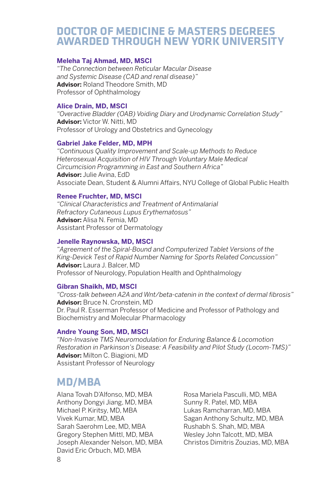# **DOCTOR OF MEDICINE & MASTERS DEGREES AWARDED THROUGH NEW YORK UNIVERSITY**

#### **Meleha Taj Ahmad, MD, MSCI**

*"The Connection between Reticular Macular Disease and Systemic Disease (CAD and renal disease)"* **Advisor:** Roland Theodore Smith, MD Professor of Ophthalmology

#### **Alice Drain, MD, MSCI**

*"Overactive Bladder (OAB) Voiding Diary and Urodynamic Correlation Study"* **Advisor:** Victor W. Nitti, MD Professor of Urology and Obstetrics and Gynecology

#### **Gabriel Jake Felder, MD, MPH**

*"Continuous Quality Improvement and Scale-up Methods to Reduce Heterosexual Acquisition of HIV Through Voluntary Male Medical Circumcision Programming in East and Southern Africa"* **Advisor:** Julie Avina, EdD Associate Dean, Student & Alumni Affairs, NYU College of Global Public Health

#### **Renee Fruchter, MD, MSCI**

*"Clinical Characteristics and Treatment of Antimalarial Refractory Cutaneous Lupus Erythematosus"* **Advisor:** Alisa N. Femia, MD Assistant Professor of Dermatology

#### **Jenelle Raynowska, MD, MSCI**

*"Agreement of the Spiral-Bound and Computerized Tablet Versions of the King-Devick Test of Rapid Number Naming for Sports Related Concussion"* **Advisor:** Laura J. Balcer, MD Professor of Neurology, Population Health and Ophthalmology

#### **Gibran Shaikh, MD, MSCI**

*"Cross-talk between A2A and Wnt/beta-catenin in the context of dermal fibrosis"* **Advisor:** Bruce N. Cronstein, MD Dr. Paul R. Esserman Professor of Medicine and Professor of Pathology and Biochemistry and Molecular Pharmacology

#### **Andre Young Son, MD, MSCI**

*"Non-Invasive TMS Neuromodulation for Enduring Balance & Locomotion Restoration in Parkinson's Disease: A Feasibility and Pilot Study (Locom-TMS)"* **Advisor:** Milton C. Biagioni, MD Assistant Professor of Neurology

# **MD/MBA**

Alana Tovah D'Alfonso, MD, MBA Anthony Dongyi Jiang, MD, MBA Michael P. Kiritsy, MD, MBA Vivek Kumar, MD, MBA Sarah Saerohm Lee, MD, MBA Gregory Stephen Mittl, MD, MBA Joseph Alexander Nelson, MD, MBA David Eric Orbuch, MD, MBA

Rosa Mariela Pasculli, MD, MBA Sunny R. Patel, MD, MBA Lukas Ramcharran, MD, MBA Sagan Anthony Schultz, MD, MBA Rushabh S. Shah, MD, MBA Wesley John Talcott, MD, MBA Christos Dimitris Zouzias, MD, MBA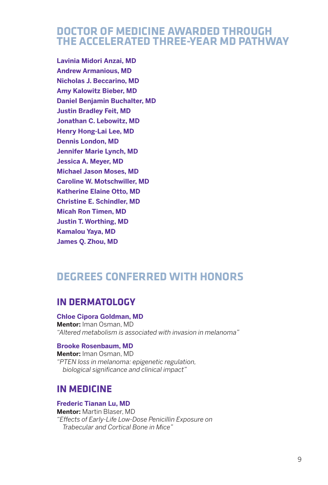# **DOCTOR OF MEDICINE AWARDED THROUGH THE ACCELERATED THREE-YEAR MD PATHWAY**

**Lavinia Midori Anzai, MD Andrew Armanious, MD Nicholas J. Beccarino, MD Amy Kalowitz Bieber, MD Daniel Benjamin Buchalter, MD Justin Bradley Feit, MD Jonathan C. Lebowitz, MD Henry Hong-Lai Lee, MD Dennis London, MD Jennifer Marie Lynch, MD Jessica A. Meyer, MD Michael Jason Moses, MD Caroline W. Motschwiller, MD Katherine Elaine Otto, MD Christine E. Schindler, MD Micah Ron Timen, MD Justin T. Worthing, MD Kamalou Yaya, MD James Q. Zhou, MD**

# **DEGREES CONFERRED WITH HONORS**

## **IN DERMATOLOGY**

#### **Chloe Cipora Goldman, MD**

**Mentor:** Iman Osman, MD *"Altered metabolism is associated with invasion in melanoma"*

#### **Brooke Rosenbaum, MD**

**Mentor:** Iman Osman, MD *"PTEN loss in melanoma: epigenetic regulation, biological significance and clinical impact"*

### **IN MEDICINE**

#### **Frederic Tianan Lu, MD**

**Mentor:** Martin Blaser, MD *"Effects of Early-Life Low-Dose Penicillin Exposure on Trabecular and Cortical Bone in Mice"*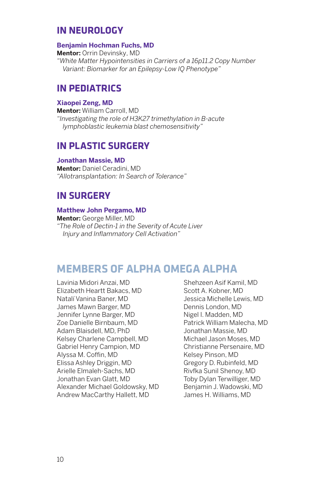# **IN NEUROLOGY**

#### **Benjamin Hochman Fuchs, MD**

**Mentor:** Orrin Devinsky, MD *"White Matter Hypointensities in Carriers of a 16p11.2 Copy Number Variant: Biomarker for an Epilepsy-Low IQ Phenotype"*

# **IN PEDIATRICS**

#### **Xiaopei Zeng, MD**

**Mentor:** William Carroll, MD *"Investigating the role of H3K27 trimethylation in B-acute lymphoblastic leukemia blast chemosensitivity"*

## **IN PLASTIC SURGERY**

#### **Jonathan Massie, MD**

**Mentor:** Daniel Ceradini, MD *"Allotransplantation: In Search of Tolerance"*

# **IN SURGERY**

#### **Matthew John Pergamo, MD**

**Mentor:** George Miller, MD *"The Role of Dectin-1 in the Severity of Acute Liver Injury and Inflammatory Cell Activation"*

# **MEMBERS OF ALPHA OMEGA ALPHA**

Lavinia Midori Anzai, MD Elizabeth Heartt Bakacs, MD Natalí Vanina Baner, MD James Mawn Barger, MD Jennifer Lynne Barger, MD Zoe Danielle Birnbaum, MD Adam Blaisdell, MD, PhD Kelsey Charlene Campbell, MD Gabriel Henry Campion, MD Alyssa M. Coffin, MD Elissa Ashley Driggin, MD Arielle Elmaleh-Sachs, MD Jonathan Evan Glatt, MD Alexander Michael Goldowsky, MD Andrew MacCarthy Hallett, MD

Shehzeen Asif Kamil, MD Scott A. Kobner, MD Jessica Michelle Lewis, MD Dennis London, MD Nigel I. Madden, MD Patrick William Malecha, MD Jonathan Massie, MD Michael Jason Moses, MD Christianne Persenaire, MD Kelsey Pinson, MD Gregory D. Rubinfeld, MD Rivfka Sunil Shenoy, MD Toby Dylan Terwilliger, MD Benjamin J. Wadowski, MD James H. Williams, MD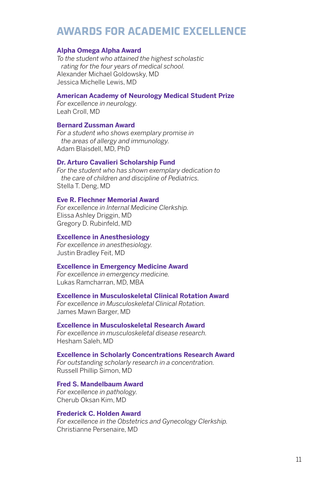# **AWARDS FOR ACADEMIC EXCELLENCE**

#### **Alpha Omega Alpha Award**

*To the student who attained the highest scholastic rating for the four years of medical school.* Alexander Michael Goldowsky, MD Jessica Michelle Lewis, MD

#### **American Academy of Neurology Medical Student Prize**

*For excellence in neurology.* Leah Croll, MD

#### **Bernard Zussman Award**

*For a student who shows exemplary promise in the areas of allergy and immunology.* Adam Blaisdell, MD, PhD

#### **Dr. Arturo Cavalieri Scholarship Fund**

*For the student who has shown exemplary dedication to the care of children and discipline of Pediatrics.* Stella T. Deng, MD

#### **Eve R. Flechner Memorial Award**

*For excellence in Internal Medicine Clerkship.* Elissa Ashley Driggin, MD Gregory D. Rubinfeld, MD

#### **Excellence in Anesthesiology**

*For excellence in anesthesiology.* Justin Bradley Feit, MD

#### **Excellence in Emergency Medicine Award**

*For excellence in emergency medicine.* Lukas Ramcharran, MD, MBA

#### **Excellence in Musculoskeletal Clinical Rotation Award**

*For excellence in Musculoskeletal Clinical Rotation.* James Mawn Barger, MD

#### **Excellence in Musculoskeletal Research Award**

*For excellence in musculoskeletal disease research.* Hesham Saleh, MD

#### **Excellence in Scholarly Concentrations Research Award**

*For outstanding scholarly research in a concentration.* Russell Phillip Simon, MD

**Fred S. Mandelbaum Award** *For excellence in pathology.*

Cherub Oksan Kim, MD

#### **Frederick C. Holden Award**

*For excellence in the Obstetrics and Gynecology Clerkship.* Christianne Persenaire, MD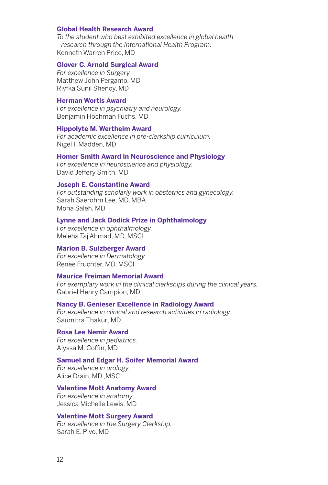#### **Global Health Research Award**

*To the student who best exhibited excellence in global health research through the International Health Program.* Kenneth Warren Price, MD

#### **Glover C. Arnold Surgical Award**

*For excellence in Surgery.* Matthew John Pergamo, MD Rivfka Sunil Shenoy, MD

#### **Herman Wortis Award**

*For excellence in psychiatry and neurology.* Benjamin Hochman Fuchs, MD

#### **Hippolyte M. Wertheim Award**

*For academic excellence in pre-clerkship curriculum.* Nigel I. Madden, MD

#### **Homer Smith Award in Neuroscience and Physiology**

*For excellence in neuroscience and physiology.* David Jeffery Smith, MD

#### **Joseph E. Constantine Award**

*For outstanding scholarly work in obstetrics and gynecology.* Sarah Saerohm Lee, MD, MBA Mona Saleh, MD

#### **Lynne and Jack Dodick Prize in Ophthalmology**

*For excellence in ophthalmology.* Meleha Taj Ahmad, MD, MSCI

#### **Marion B. Sulzberger Award**

*For excellence in Dermatology.* Renee Fruchter, MD, MSCI

#### **Maurice Freiman Memorial Award**

*For exemplary work in the clinical clerkships during the clinical years.* Gabriel Henry Campion, MD

#### **Nancy B. Genieser Excellence in Radiology Award**

*For excellence in clinical and research activities in radiology.* Saumitra Thakur, MD

#### **Rosa Lee Nemir Award**

*For excellence in pediatrics.* Alyssa M. Coffin, MD

#### **Samuel and Edgar H. Soifer Memorial Award**

*For excellence in urology.* Alice Drain, MD ,MSCI

#### **Valentine Mott Anatomy Award**

*For excellence in anatomy.* Jessica Michelle Lewis, MD

#### **Valentine Mott Surgery Award**

*For excellence in the Surgery Clerkship.* Sarah E. Pivo, MD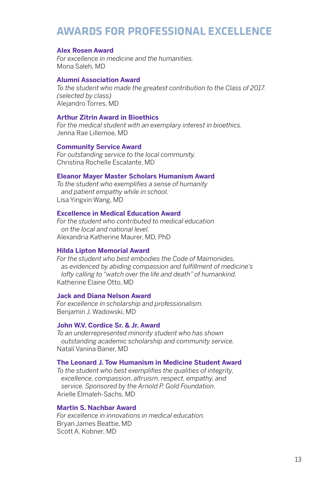# **AWARDS FOR PROFESSIONAL EXCELLENCE**

#### **Alex Rosen Award**

*For excellence in medicine and the humanities.* Mona Saleh, MD

#### **Alumni Association Award**

*To the student who made the greatest contribution to the Class of 2017. (selected by class)* Alejandro Torres, MD

#### **Arthur Zitrin Award in Bioethics**

*For the medical student with an exemplary interest in bioethics.* Jenna Rae Lillemoe, MD

#### **Community Service Award**

*For outstanding service to the local community.* Christina Rochelle Escalante, MD

#### **Eleanor Mayer Master Scholars Humanism Award**

*To the student who exemplifies a sense of humanity and patient empathy while in school.* Lisa Yingxin Wang, MD

#### **Excellence in Medical Education Award**

*For the student who contributed to medical education on the local and national level.* Alexandria Katherine Maurer, MD, PhD

#### **Hilda Lipton Memorial Award**

*For the student who best embodies the Code of Maimonides, as evidenced by abiding compassion and fulfillment of medicine's lofty calling to "watch over the life and death" of humankind.* Katherine Elaine Otto, MD

#### **Jack and Diana Nelson Award**

*For excellence in scholarship and professionalism.* Benjamin J. Wadowski, MD

#### **John W.V. Cordice Sr. & Jr. Award**

*To an underrepresented minority student who has shown outstanding academic scholarship and community service.* Natalí Vanina Baner, MD

#### **The Leonard J. Tow Humanism in Medicine Student Award**

*To the student who best exemplifies the qualities of integrity, excellence, compassion, altruism, respect, empathy, and service. Sponsored by the Arnold P. Gold Foundation.* Arielle Elmaleh-Sachs, MD

#### **Martin S. Nachbar Award**

*For excellence in innovations in medical education.* Bryan James Beattie, MD Scott A. Kobner, MD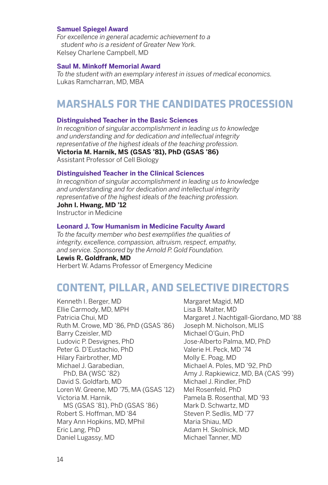#### **Samuel Spiegel Award**

*For excellence in general academic achievement to a student who is a resident of Greater New York.* Kelsey Charlene Campbell, MD

#### **Saul M. Minkoff Memorial Award**

*To the student with an exemplary interest in issues of medical economics.* Lukas Ramcharran, MD, MBA

# **MARSHALS FOR THE CANDIDATES PROCESSION**

#### **Distinguished Teacher in the Basic Sciences**

*In recognition of singular accomplishment in leading us to knowledge and understanding and for dedication and intellectual integrity representative of the highest ideals of the teaching profession.* **Victoria M. Harnik, MS (GSAS '81), PhD (GSAS '86)** Assistant Professor of Cell Biology

#### **Distinguished Teacher in the Clinical Sciences**

*In recognition of singular accomplishment in leading us to knowledge and understanding and for dedication and intellectual integrity representative of the highest ideals of the teaching profession.*

#### **John I. Hwang, MD '12**

Instructor in Medicine

#### **Leonard J. Tow Humanism in Medicine Faculty Award**

*To the faculty member who best exemplifies the qualities of integrity, excellence, compassion, altruism, respect, empathy, and service. Sponsored by the Arnold P. Gold Foundation.*

#### **Lewis R. Goldfrank, MD**

Herbert W. Adams Professor of Emergency Medicine

# **CONTENT, PILLAR, AND SELECTIVE DIRECTORS**

Kenneth I. Berger, MD Ellie Carmody, MD, MPH Patricia Chui, MD Ruth M. Crowe, MD '86, PhD (GSAS '86) Barry Czeisler, MD Ludovic P. Desvignes, PhD Peter G. D'Eustachio, PhD Hilary Fairbrother, MD Michael J. Garabedian, PhD, BA (WSC '82) David S. Goldfarb, MD Loren W. Greene, MD '75, MA (GSAS '12) Victoria M. Harnik, MS (GSAS '81), PhD (GSAS '86) Robert S. Hoffman, MD '84 Mary Ann Hopkins, MD, MPhil Eric Lang, PhD Daniel Lugassy, MD

Margaret Magid, MD Lisa B. Malter, MD Margaret J. Nachtigall-Giordano, MD '88 Joseph M. Nicholson, MLIS Michael O'Guin, PhD Jose-Alberto Palma, MD, PhD Valerie H. Peck, MD '74 Molly E. Poag, MD Michael A. Poles, MD '92, PhD Amy J. Rapkiewicz, MD, BA (CAS '99) Michael J. Rindler, PhD Mel Rosenfeld, PhD Pamela B. Rosenthal, MD '93 Mark D. Schwartz, MD Steven P. Sedlis, MD '77 Maria Shiau, MD Adam H. Skolnick, MD Michael Tanner, MD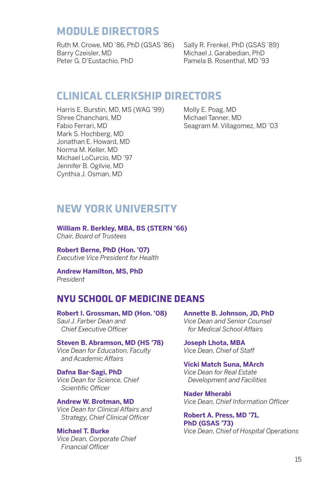# **MODULE DIRECTORS**

Ruth M. Crowe, MD '86, PhD (GSAS '86) Barry Czeisler, MD Peter G. D'Eustachio, PhD

Sally R. Frenkel, PhD (GSAS '89) Michael J. Garabedian, PhD Pamela B. Rosenthal, MD '93

# **CLINICAL CLERKSHIP DIRECTORS**

Harris E. Burstin, MD, MS (WAG '99) Shree Chanchani, MD Fabio Ferrari, MD Mark S. Hochberg, MD Jonathan E. Howard, MD Norma M. Keller, MD Michael LoCurcio, MD '97 Jennifer B. Ogilvie, MD Cynthia J. Osman, MD

Molly E. Poag, MD Michael Tanner, MD Seagram M. Villagomez, MD '03

# **NEW YORK UNIVERSITY**

**William R. Berkley, MBA, BS (STERN '66)**  *Chair, Board of Trustees* 

**Robert Berne, PhD (Hon. '07)**  *Executive Vice President for Health* 

**Andrew Hamilton, MS, PhD**  *President*

# **NYU SCHOOL OF MEDICINE DEANS**

**Robert I. Grossman, MD (Hon. '08)** *Saul J. Farber Dean and Chief Executive Officer*

**Steven B. Abramson, MD (HS '78)** *Vice Dean for Education, Faculty and Academic Affairs*

**Dafna Bar-Sagi, PhD** *Vice Dean for Science, Chief Scientific Officer*

**Andrew W. Brotman, MD** *Vice Dean for Clinical Affairs and Strategy, Chief Clinical Officer*

**Michael T. Burke** *Vice Dean, Corporate Chief Financial Officer*

**Annette B. Johnson, JD, PhD** *Vice Dean and Senior Counsel for Medical School Affairs*

**Joseph Lhota, MBA** *Vice Dean, Chief of Staff*

**Vicki Match Suna, MArch** *Vice Dean for Real Estate Development and Facilities*

**Nader Mherabi** *Vice Dean, Chief Information Officer*

**Robert A. Press, MD '71, PhD (GSAS '73)** *Vice Dean, Chief of Hospital Operations*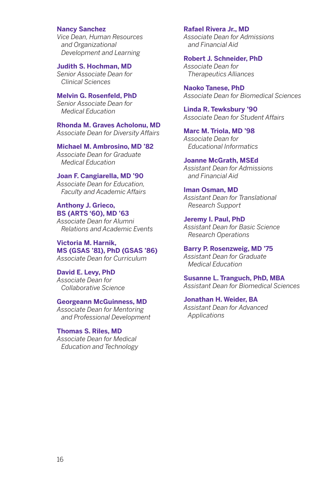#### **Nancy Sanchez**

*Vice Dean, Human Resources and Organizational Development and Learning*

**Judith S. Hochman, MD** *Senior Associate Dean for Clinical Sciences*

**Melvin G. Rosenfeld, PhD** *Senior Associate Dean for Medical Education*

**Rhonda M. Graves Acholonu, MD** *Associate Dean for Diversity Affairs*

**Michael M. Ambrosino, MD '82** *Associate Dean for Graduate Medical Education*

**Joan F. Cangiarella, MD '90**

*Associate Dean for Education, Faculty and Academic Affairs*

#### **Anthony J. Grieco, BS (ARTS '60), MD '63**

*Associate Dean for Alumni Relations and Academic Events*

**Victoria M. Harnik, MS (GSAS '81), PhD (GSAS '86)** *Associate Dean for Curriculum*

**David E. Levy, PhD** *Associate Dean for Collaborative Science*

#### **Georgeann McGuinness, MD**

*Associate Dean for Mentoring and Professional Development*

#### **Thomas S. Riles, MD**

*Associate Dean for Medical Education and Technology*

#### **Rafael Rivera Jr., MD**

*Associate Dean for Admissions and Financial Aid*

**Robert J. Schneider, PhD** *Associate Dean for Therapeutics Alliances*

**Naoko Tanese, PhD** *Associate Dean for Biomedical Sciences* 

**Linda R. Tewksbury '90** *Associate Dean for Student Affairs*

**Marc M. Triola, MD '98** *Associate Dean for Educational Informatics*

#### **Joanne McGrath, MSEd**

*Assistant Dean for Admissions and Financial Aid*

#### **Iman Osman, MD**

*Assistant Dean for Translational Research Support*

**Jeremy I. Paul, PhD**

*Assistant Dean for Basic Science Research Operations* 

#### **Barry P. Rosenzweig, MD '75**

*Assistant Dean for Graduate Medical Education*

**Susanne L. Tranguch, PhD, MBA** *Assistant Dean for Biomedical Sciences* 

**Jonathan H. Weider, BA** *Assistant Dean for Advanced Applications*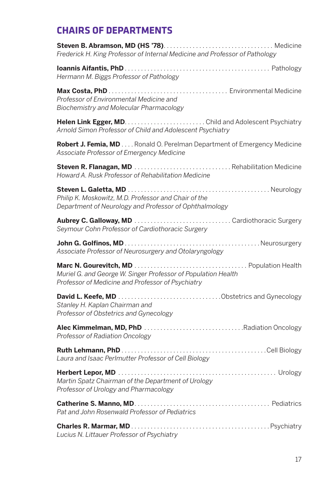# **CHAIRS OF DEPARTMENTS**

| Frederick H. King Professor of Internal Medicine and Professor of Pathology                                          |
|----------------------------------------------------------------------------------------------------------------------|
| Hermann M. Biggs Professor of Pathology                                                                              |
| Professor of Environmental Medicine and<br>Biochemistry and Molecular Pharmacology                                   |
| Arnold Simon Professor of Child and Adolescent Psychiatry                                                            |
| Robert J. Femia, MD Ronald O. Perelman Department of Emergency Medicine<br>Associate Professor of Emergency Medicine |
| Howard A. Rusk Professor of Rehabilitation Medicine                                                                  |
| Philip K. Moskowitz, M.D. Professor and Chair of the<br>Department of Neurology and Professor of Ophthalmology       |
| Seymour Cohn Professor of Cardiothoracic Surgery                                                                     |
| Associate Professor of Neurosurgery and Otolaryngology                                                               |
| Muriel G. and George W. Singer Professor of Population Health<br>Professor of Medicine and Professor of Psychiatry   |
| Stanley H. Kaplan Chairman and<br>Professor of Obstetrics and Gynecology                                             |
| Professor of Radiation Oncology                                                                                      |
| Laura and Isaac Perlmutter Professor of Cell Biology                                                                 |
| Martin Spatz Chairman of the Department of Urology<br>Professor of Urology and Pharmacology                          |
| Pat and John Rosenwald Professor of Pediatrics                                                                       |
| Lucius N. Littauer Professor of Psychiatry                                                                           |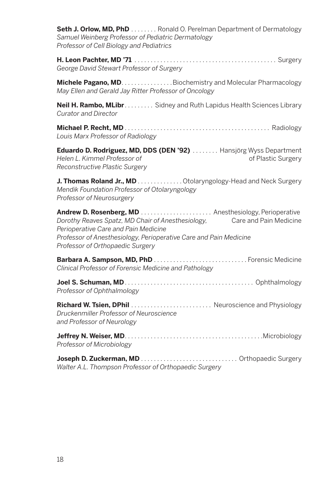**Seth J. Orlow, MD, PhD**. . . . . . . . Ronald O. Perelman Department of Dermatology *Samuel Weinberg Professor of Pediatric Dermatology Professor of Cell Biology and Pediatrics*

**H. Leon Pachter, MD '71**. . Surgery *George David Stewart Professor of Surgery*

**Michele Pagano, MD. Biochemistry and Molecular Pharmacology** *May Ellen and Gerald Jay Ritter Professor of Oncology*

**Neil H. Rambo, MLibr. . . . . . . . .** Sidney and Ruth Lapidus Health Sciences Library *Curator and Director*

**Michael P. Recht, MD**. . Radiology *Louis Marx Professor of Radiology*

**Eduardo D. Rodriguez, MD, DDS (DEN '92)** . . . . . . . . Hansjörg Wyss Department *Helen L. Kimmel Professor of* **Example 20** of Plastic Surgery *Reconstructive Plastic Surgery*

J. Thomas Roland Jr., MD . . . . . . . . . . . . . Otolaryngology-Head and Neck Surgery *Mendik Foundation Professor of Otolaryngology Professor of Neurosurgery*

**Andrew D. Rosenberg, MD**. . Anesthesiology, Perioperative *Dorothy Reaves Spatz, MD Chair of Anesthesiology,* Care and Pain Medicine *Perioperative Care and Pain Medicine Professor of Anesthesiology, Perioperative Care and Pain Medicine Professor of Orthopaedic Surgery*

**Barbara A. Sampson, MD, PhD**. Forensic Medicine *Clinical Professor of Forensic Medicine and Pathology*

**Joel S. Schuman, MD**. . Ophthalmology *Professor of Ophthalmology*

**Richard W. Tsien, DPhil**. . Neuroscience and Physiology *Druckenmiller Professor of Neuroscience and Professor of Neurology*

**Jeffrey N. Weiser, MD. Microbiology And Microbiology of Allen Microbiology of Allen Microbiology** *Professor of Microbiology*

**Joseph D. Zuckerman, MD**. . Orthopaedic Surgery *Walter A.L. Thompson Professor of Orthopaedic Surgery*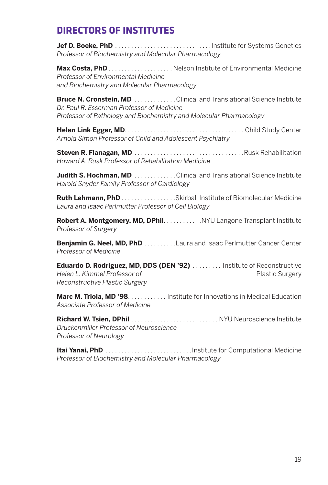# **DIRECTORS OF INSTITUTES**

**Jef D. Boeke, PhD**. Institute for Systems Genetics *Professor of Biochemistry and Molecular Pharmacology*

**Max Costa, PhD**. Nelson Institute of Environmental Medicine *Professor of Environmental Medicine and Biochemistry and Molecular Pharmacology*

**Bruce N. Cronstein, MD**. . . . . . . . . . . . . Clinical and Translational Science Institute *Dr. Paul R. Esserman Professor of Medicine Professor of Pathology and Biochemistry and Molecular Pharmacology*

**Helen Link Egger, MD**. . . . . . . . . . . . . . . . . . . . . . . . . . . . . . . . . . . . . Child Study Center *Arnold Simon Professor of Child and Adolescent Psychiatry*

**Steven R. Flanagan, MD**. Rusk Rehabilitation *Howard A. Rusk Professor of Rehabilitation Medicine*

**Judith S. Hochman, MD**. . . . . . . . . . . . Clinical and Translational Science Institute *Harold Snyder Family Professor of Cardiology*

**Ruth Lehmann, PhD**. . . . . . . . . . . . . . . . . Skirball Institute of Biomolecular Medicine *Laura and Isaac Perlmutter Professor of Cell Biology*

**Robert A. Montgomery, MD, DPhil.** Networth MYU Langone Transplant Institute *Professor of Surgery*

**Benjamin G. Neel, MD, PhD**. . . . . . . . . Laura and Isaac Perlmutter Cancer Center *Professor of Medicine*

**Eduardo D. Rodriguez, MD, DDS (DEN '92)** . . . . . . . . . Institute of Reconstructive **Helen L. Kimmel Professor of** Plastic Surgery *Reconstructive Plastic Surgery*

**Marc M. Triola, MD '98. . . . . . . . . . . . Institute for Innovations in Medical Education** *Associate Professor of Medicine*

**Richard W. Tsien, DPhil**. . NYU Neuroscience Institute *Druckenmiller Professor of Neuroscience Professor of Neurology*

**Itai Yanai, PhD**. Institute for Computational Medicine *Professor of Biochemistry and Molecular Pharmacology*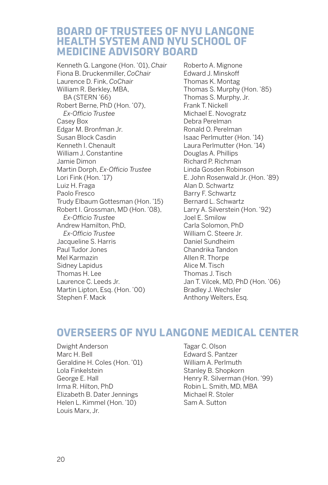# **BOARD OF TRUSTEES OF NYU LANGONE HEALTH SYSTEM AND NYU SCHOOL OF MEDICINE ADVISORY BOARD**

Kenneth G. Langone (Hon. '01), *Chair* Fiona B. Druckenmiller, *CoChair* Laurence D. Fink, *CoChair* William R. Berkley, MBA, BA (STERN '66) Robert Berne, PhD (Hon. '07), *Ex-Officio Trustee* Casey Box Edgar M. Bronfman Jr. Susan Block Casdin Kenneth I. Chenault William J. Constantine Jamie Dimon Martin Dorph, *Ex-Officio Trustee* Lori Fink (Hon. '17) Luiz H. Fraga Paolo Fresco Trudy Elbaum Gottesman (Hon. '15) Robert I. Grossman, MD (Hon. '08),  *Ex-Officio Trustee* Andrew Hamilton, PhD, *Ex-Officio Trustee* Jacqueline S. Harris Paul Tudor Jones Mel Karmazin Sidney Lapidus Thomas H. Lee Laurence C. Leeds Jr. Martin Lipton, Esq. (Hon. '00) Stephen F. Mack

Roberto A. Mignone Edward J. Minskoff Thomas K. Montag Thomas S. Murphy (Hon. '85) Thomas S. Murphy, Jr. Frank T. Nickell Michael E. Novogratz Debra Perelman Ronald O. Perelman Isaac Perlmutter (Hon. '14) Laura Perlmutter (Hon. '14) Douglas A. Phillips Richard P. Richman Linda Gosden Robinson E. John Rosenwald Jr. (Hon. '89) Alan D. Schwartz Barry F. Schwartz Bernard L. Schwartz Larry A. Silverstein (Hon. '92) Joel E. Smilow Carla Solomon, PhD William C. Steere Jr. Daniel Sundheim Chandrika Tandon Allen R. Thorpe Alice M. Tisch Thomas J. Tisch Jan T. Vilcek, MD, PhD (Hon. '06) Bradley J. Wechsler Anthony Welters, Esq.

# **OVERSEERS OF NYU LANGONE MEDICAL CENTER**

Dwight Anderson Marc H. Bell Geraldine H. Coles (Hon. '01) Lola Finkelstein George E. Hall Irma R. Hilton, PhD Elizabeth B. Dater Jennings Helen L. Kimmel (Hon. '10) Louis Marx, Jr.

Tagar C. Olson Edward S. Pantzer William A. Perlmuth Stanley B. Shopkorn Henry R. Silverman (Hon. '99) Robin L. Smith, MD, MBA Michael R. Stoler Sam A. Sutton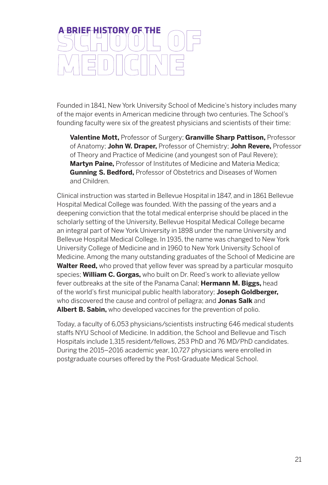# **A BRIEF HISTORY OF THE**

Founded in 1841, New York University School of Medicine's history includes many of the major events in American medicine through two centuries. The School's founding faculty were six of the greatest physicians and scientists of their time:

**Valentine Mott,** Professor of Surgery; **Granville Sharp Pattison,** Professor of Anatomy; **John W. Draper,** Professor of Chemistry; **John Revere,** Professor of Theory and Practice of Medicine (and youngest son of Paul Revere); **Martyn Paine,** Professor of Institutes of Medicine and Materia Medica; **Gunning S. Bedford,** Professor of Obstetrics and Diseases of Women and Children.

Clinical instruction was started in Bellevue Hospital in 1847, and in 1861 Bellevue Hospital Medical College was founded. With the passing of the years and a deepening conviction that the total medical enterprise should be placed in the scholarly setting of the University, Bellevue Hospital Medical College became an integral part of New York University in 1898 under the name University and Bellevue Hospital Medical College. In 1935, the name was changed to New York University College of Medicine and in 1960 to New York University School of Medicine. Among the many outstanding graduates of the School of Medicine are **Walter Reed,** who proved that yellow fever was spread by a particular mosquito species; **William C. Gorgas,** who built on Dr. Reed's work to alleviate yellow fever outbreaks at the site of the Panama Canal; **Hermann M. Biggs,** head of the world's first municipal public health laboratory; **Joseph Goldberger,** who discovered the cause and control of pellagra; and **Jonas Salk** and **Albert B. Sabin,** who developed vaccines for the prevention of polio.

Today, a faculty of 6,053 physicians/scientists instructing 646 medical students staffs NYU School of Medicine. In addition, the School and Bellevue and Tisch Hospitals include 1,315 resident/fellows, 253 PhD and 76 MD/PhD candidates. During the 2015–2016 academic year, 10,727 physicians were enrolled in postgraduate courses offered by the Post-Graduate Medical School.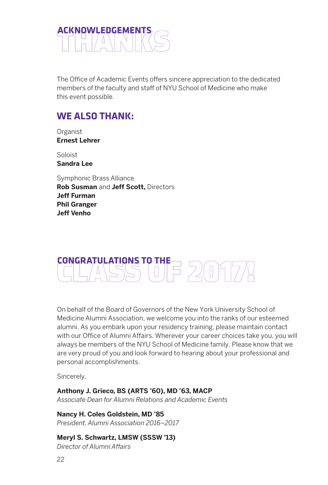

The Office of Academic Events offers sincere appreciation to the dedicated members of the faculty and staff of NYU School of Medicine who make this event possible.

# **WE ALSO THANK:**

Organist **Ernest Lehrer**

Soloist **Sandra Lee**

Symphonic Brass Alliance **Rob Susman** and **Jeff Scott,** Directors **Jeff Furman Phil Granger Jeff Venho**



On behalf of the Board of Governors of the New York University School of Medicine Alumni Association, we welcome you into the ranks of our esteemed alumni. As you embark upon your residency training, please maintain contact with our Office of Alumni Affairs. Wherever your career choices take you, you will always be members of the NYU School of Medicine family. Please know that we are very proud of you and look forward to hearing about your professional and personal accomplishments.

Sincerely,

#### **Anthony J. Grieco, BS (ARTS '60), MD '63, MACP**

*Associate Dean for Alumni Relations and Academic Events*

**Nancy H. Coles Goldstein, MD '85**

*President, Alumni Association 2016–2017*

#### **Meryl S. Schwartz, LMSW (SSSW '13)**

*Director of Alumni Affairs*